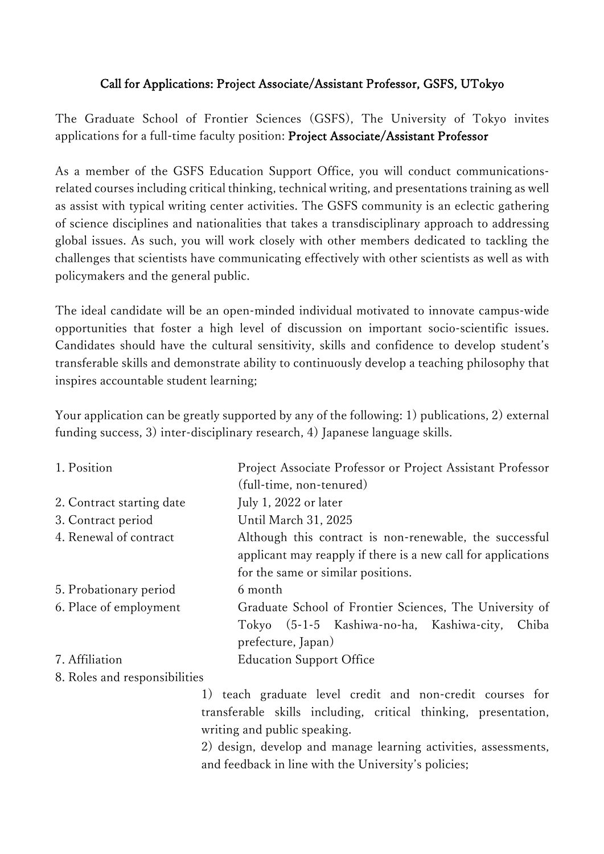## Call for Applications: Project Associate/Assistant Professor, GSFS, UTokyo

The Graduate School of Frontier Sciences (GSFS), The University of Tokyo invites applications for a full-time faculty position: Project Associate/Assistant Professor

As a member of the GSFS Education Support Office, you will conduct communicationsrelated courses including critical thinking, technical writing, and presentations training as well as assist with typical writing center activities. The GSFS community is an eclectic gathering of science disciplines and nationalities that takes a transdisciplinary approach to addressing global issues. As such, you will work closely with other members dedicated to tackling the challenges that scientists have communicating effectively with other scientists as well as with policymakers and the general public.

The ideal candidate will be an open-minded individual motivated to innovate campus-wide opportunities that foster a high level of discussion on important socio-scientific issues. Candidates should have the cultural sensitivity, skills and confidence to develop student's transferable skills and demonstrate ability to continuously develop a teaching philosophy that inspires accountable student learning;

Your application can be greatly supported by any of the following: 1) publications, 2) external funding success, 3) inter-disciplinary research, 4) Japanese language skills.

| 1. Position               | Project Associate Professor or Project Assistant Professor<br>(full-time, non-tenured)                                                                         |
|---------------------------|----------------------------------------------------------------------------------------------------------------------------------------------------------------|
| 2. Contract starting date | July 1, 2022 or later                                                                                                                                          |
| 3. Contract period        | Until March 31, 2025                                                                                                                                           |
| 4. Renewal of contract    | Although this contract is non-renewable, the successful<br>applicant may reapply if there is a new call for applications<br>for the same or similar positions. |
| 5. Probationary period    | 6 month                                                                                                                                                        |
| 6. Place of employment    | Graduate School of Frontier Sciences, The University of<br>Tokyo (5-1-5 Kashiwa-no-ha, Kashiwa-city,<br>Chiba<br>prefecture, Japan)                            |
| 7. Affiliation            | <b>Education Support Office</b>                                                                                                                                |

8. Roles and responsibilities

1) teach graduate level credit and non-credit courses for transferable skills including, critical thinking, presentation, writing and public speaking.

2) design, develop and manage learning activities, assessments, and feedback in line with the University's policies;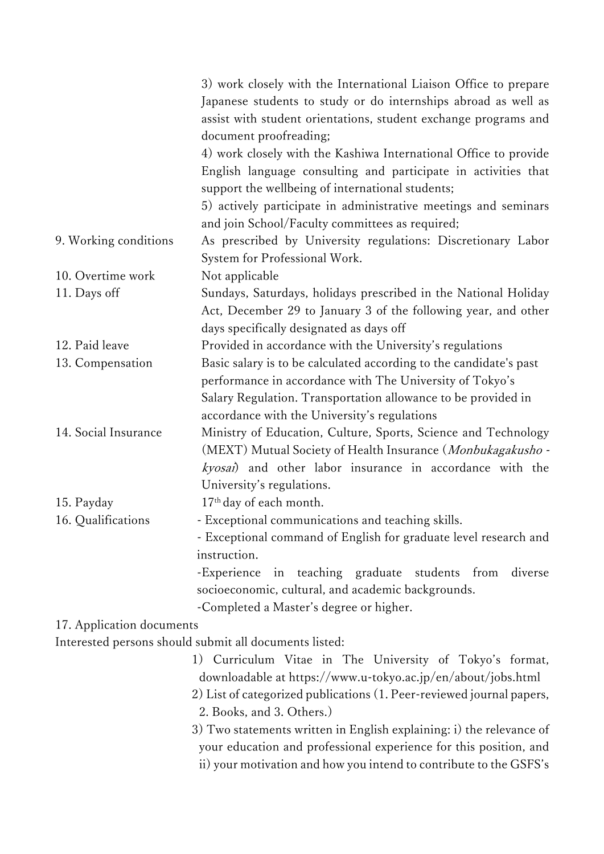|                           | 3) work closely with the International Liaison Office to prepare      |
|---------------------------|-----------------------------------------------------------------------|
|                           | Japanese students to study or do internships abroad as well as        |
|                           | assist with student orientations, student exchange programs and       |
|                           | document proofreading;                                                |
|                           | 4) work closely with the Kashiwa International Office to provide      |
|                           | English language consulting and participate in activities that        |
|                           | support the wellbeing of international students;                      |
|                           | 5) actively participate in administrative meetings and seminars       |
|                           | and join School/Faculty committees as required;                       |
| 9. Working conditions     | As prescribed by University regulations: Discretionary Labor          |
|                           | System for Professional Work.                                         |
| 10. Overtime work         | Not applicable                                                        |
| 11. Days off              | Sundays, Saturdays, holidays prescribed in the National Holiday       |
|                           | Act, December 29 to January 3 of the following year, and other        |
|                           | days specifically designated as days off                              |
| 12. Paid leave            | Provided in accordance with the University's regulations              |
| 13. Compensation          | Basic salary is to be calculated according to the candidate's past    |
|                           | performance in accordance with The University of Tokyo's              |
|                           | Salary Regulation. Transportation allowance to be provided in         |
|                           | accordance with the University's regulations                          |
| 14. Social Insurance      | Ministry of Education, Culture, Sports, Science and Technology        |
|                           | (MEXT) Mutual Society of Health Insurance (Monbukagakusho -           |
|                           | kyosai) and other labor insurance in accordance with the              |
|                           | University's regulations.                                             |
| 15. Payday                | 17 <sup>th</sup> day of each month.                                   |
| 16. Qualifications        | - Exceptional communications and teaching skills.                     |
|                           | - Exceptional command of English for graduate level research and      |
|                           | instruction.                                                          |
|                           | -Experience in teaching graduate students from<br>diverse             |
|                           | socioeconomic, cultural, and academic backgrounds.                    |
|                           | -Completed a Master's degree or higher.                               |
| 17. Application documents |                                                                       |
|                           | Interested persons should submit all documents listed:                |
|                           | 1) Curriculum Vitae in The University of Tokyo's format,              |
|                           | downloadable at https://www.u-tokyo.ac.jp/en/about/jobs.html          |
|                           | 2) List of categorized publications (1. Peer-reviewed journal papers, |
|                           | 2. Books, and 3. Others.)                                             |
|                           | 3) Two statements written in English explaining: i) the relevance of  |
|                           | your education and professional experience for this position, and     |

ii) your motivation and how you intend to contribute to the GSFS's